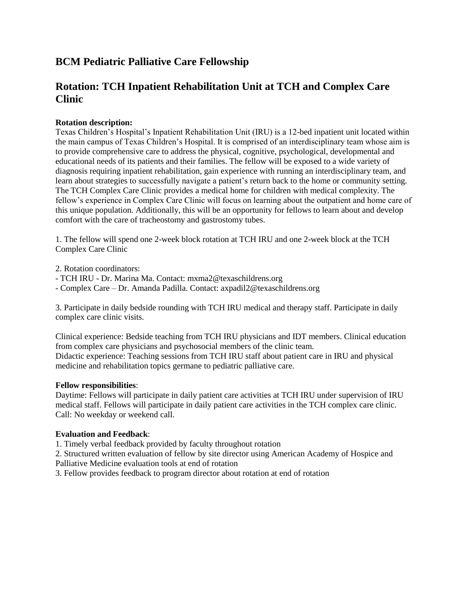# **BCM Pediatric Palliative Care Fellowship**

# **Rotation: TCH Inpatient Rehabilitation Unit at TCH and Complex Care Clinic**

### **Rotation description:**

Texas Children's Hospital's Inpatient Rehabilitation Unit (IRU) is a 12-bed inpatient unit located within the main campus of Texas Children's Hospital. It is comprised of an interdisciplinary team whose aim is to provide comprehensive care to address the physical, cognitive, psychological, developmental and educational needs of its patients and their families. The fellow will be exposed to a wide variety of diagnosis requiring inpatient rehabilitation, gain experience with running an interdisciplinary team, and learn about strategies to successfully navigate a patient's return back to the home or community setting. The TCH Complex Care Clinic provides a medical home for children with medical complexity. The fellow's experience in Complex Care Clinic will focus on learning about the outpatient and home care of this unique population. Additionally, this will be an opportunity for fellows to learn about and develop comfort with the care of tracheostomy and gastrostomy tubes.

1. The fellow will spend one 2-week block rotation at TCH IRU and one 2-week block at the TCH Complex Care Clinic

2. Rotation coordinators:

- TCH IRU Dr. Marina Ma. Contact: mxma2@texaschildrens.org
- Complex Care Dr. Amanda Padilla. Contact: axpadil2@texaschildrens.org

3. Participate in daily bedside rounding with TCH IRU medical and therapy staff. Participate in daily complex care clinic visits.

Clinical experience: Bedside teaching from TCH IRU physicians and IDT members. Clinical education from complex care physicians and psychosocial members of the clinic team. Didactic experience: Teaching sessions from TCH IRU staff about patient care in IRU and physical medicine and rehabilitation topics germane to pediatric palliative care.

#### **Fellow responsibilities**:

Daytime: Fellows will participate in daily patient care activities at TCH IRU under supervision of IRU medical staff. Fellows will participate in daily patient care activities in the TCH complex care clinic. Call: No weekday or weekend call.

#### **Evaluation and Feedback**:

1. Timely verbal feedback provided by faculty throughout rotation

2. Structured written evaluation of fellow by site director using American Academy of Hospice and Palliative Medicine evaluation tools at end of rotation

3. Fellow provides feedback to program director about rotation at end of rotation